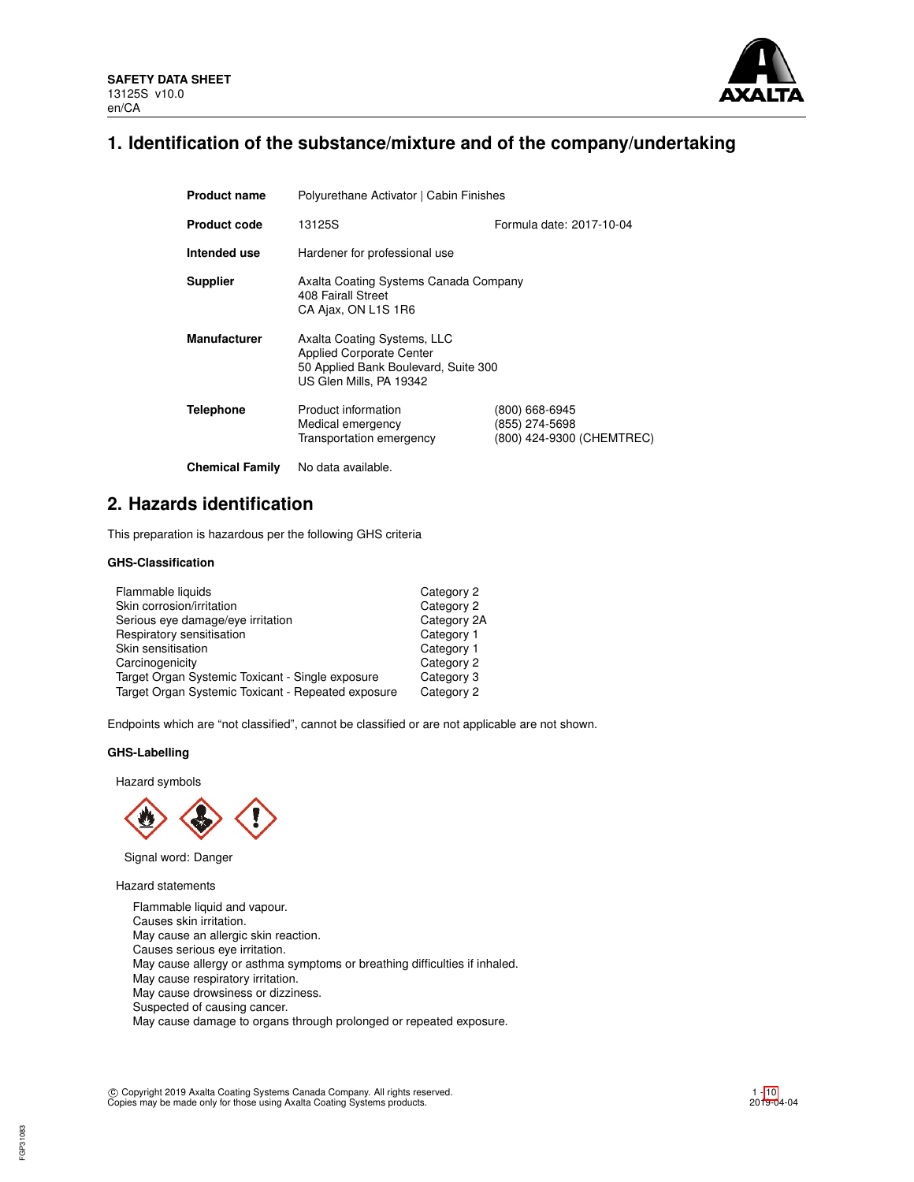

# **1. Identification of the substance/mixture and of the company/undertaking**

| <b>Product name</b>    | Polyurethane Activator   Cabin Finishes                                                                                           |                                                               |  |  |  |
|------------------------|-----------------------------------------------------------------------------------------------------------------------------------|---------------------------------------------------------------|--|--|--|
| <b>Product code</b>    | Formula date: 2017-10-04<br>13125S                                                                                                |                                                               |  |  |  |
| Intended use           | Hardener for professional use                                                                                                     |                                                               |  |  |  |
| <b>Supplier</b>        | Axalta Coating Systems Canada Company<br>408 Fairall Street<br>CA Ajax, ON L1S 1R6                                                |                                                               |  |  |  |
| <b>Manufacturer</b>    | Axalta Coating Systems, LLC<br><b>Applied Corporate Center</b><br>50 Applied Bank Boulevard, Suite 300<br>US Glen Mills, PA 19342 |                                                               |  |  |  |
| Telephone              | Product information<br>Medical emergency<br>Transportation emergency                                                              | (800) 668-6945<br>(855) 274-5698<br>(800) 424-9300 (CHEMTREC) |  |  |  |
| <b>Chemical Family</b> | No data available.                                                                                                                |                                                               |  |  |  |

# **2. Hazards identification**

This preparation is hazardous per the following GHS criteria

# **GHS-Classification**

| Flammable liquids                                  | Category 2  |
|----------------------------------------------------|-------------|
| Skin corrosion/irritation                          | Category 2  |
| Serious eye damage/eye irritation                  | Category 2A |
| Respiratory sensitisation                          | Category 1  |
| Skin sensitisation                                 | Category 1  |
| Carcinogenicity                                    | Category 2  |
| Target Organ Systemic Toxicant - Single exposure   | Category 3  |
| Target Organ Systemic Toxicant - Repeated exposure | Category 2  |

Endpoints which are "not classified", cannot be classified or are not applicable are not shown.

# **GHS-Labelling**

Hazard symbols



Signal word: Danger

Hazard statements

Flammable liquid and vapour. Causes skin irritation. May cause an allergic skin reaction. Causes serious eye irritation. May cause allergy or asthma symptoms or breathing difficulties if inhaled. May cause respiratory irritation. May cause drowsiness or dizziness. Suspected of causing cancer. May cause damage to organs through prolonged or repeated exposure.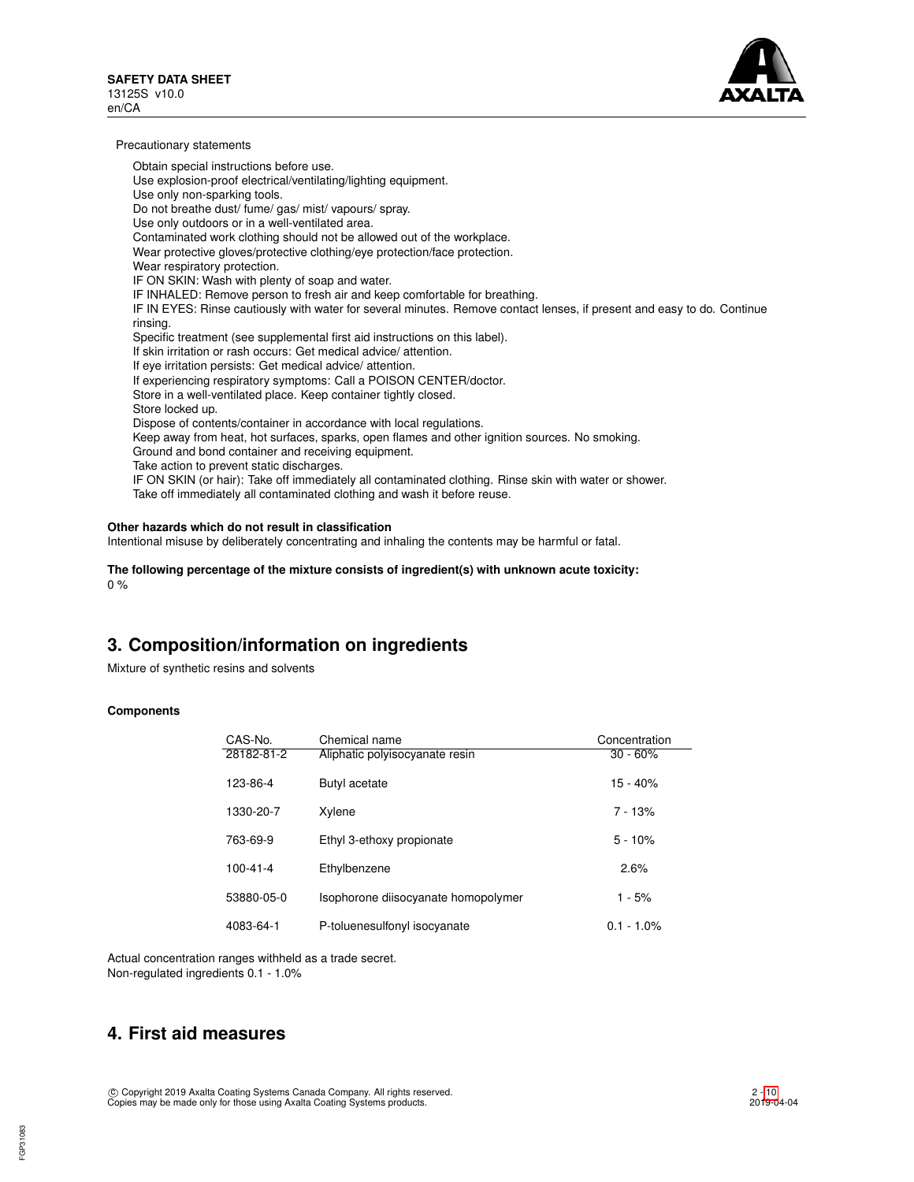

Precautionary statements

Obtain special instructions before use. Use explosion-proof electrical/ventilating/lighting equipment. Use only non-sparking tools. Do not breathe dust/ fume/ gas/ mist/ vapours/ spray. Use only outdoors or in a well-ventilated area. Contaminated work clothing should not be allowed out of the workplace. Wear protective gloves/protective clothing/eye protection/face protection. Wear respiratory protection. IF ON SKIN: Wash with plenty of soap and water. IF INHALED: Remove person to fresh air and keep comfortable for breathing. IF IN EYES: Rinse cautiously with water for several minutes. Remove contact lenses, if present and easy to do. Continue rinsing. Specific treatment (see supplemental first aid instructions on this label). If skin irritation or rash occurs: Get medical advice/ attention. If eye irritation persists: Get medical advice/ attention. If experiencing respiratory symptoms: Call a POISON CENTER/doctor. Store in a well-ventilated place. Keep container tightly closed. Store locked up. Dispose of contents/container in accordance with local regulations. Keep away from heat, hot surfaces, sparks, open flames and other ignition sources. No smoking. Ground and bond container and receiving equipment. Take action to prevent static discharges. IF ON SKIN (or hair): Take off immediately all contaminated clothing. Rinse skin with water or shower. Take off immediately all contaminated clothing and wash it before reuse.

# **Other hazards which do not result in classification**

Intentional misuse by deliberately concentrating and inhaling the contents may be harmful or fatal.

**The following percentage of the mixture consists of ingredient(s) with unknown acute toxicity:**  $0 %$ 

# **3. Composition/information on ingredients**

Mixture of synthetic resins and solvents

### **Components**

| CAS-No.        | Chemical name                       | Concentration |
|----------------|-------------------------------------|---------------|
| 28182-81-2     | Aliphatic polyisocyanate resin      | $30 - 60%$    |
| 123-86-4       | Butyl acetate                       | $15 - 40%$    |
| 1330-20-7      | Xylene                              | $7 - 13%$     |
| 763-69-9       | Ethyl 3-ethoxy propionate           | $5 - 10%$     |
| $100 - 41 - 4$ | Ethylbenzene                        | 2.6%          |
| 53880-05-0     | Isophorone diisocyanate homopolymer | $1 - 5%$      |
| 4083-64-1      | P-toluenesulfonyl isocyanate        | $0.1 - 1.0\%$ |

Actual concentration ranges withheld as a trade secret. Non-regulated ingredients 0.1 - 1.0%

# **4. First aid measures**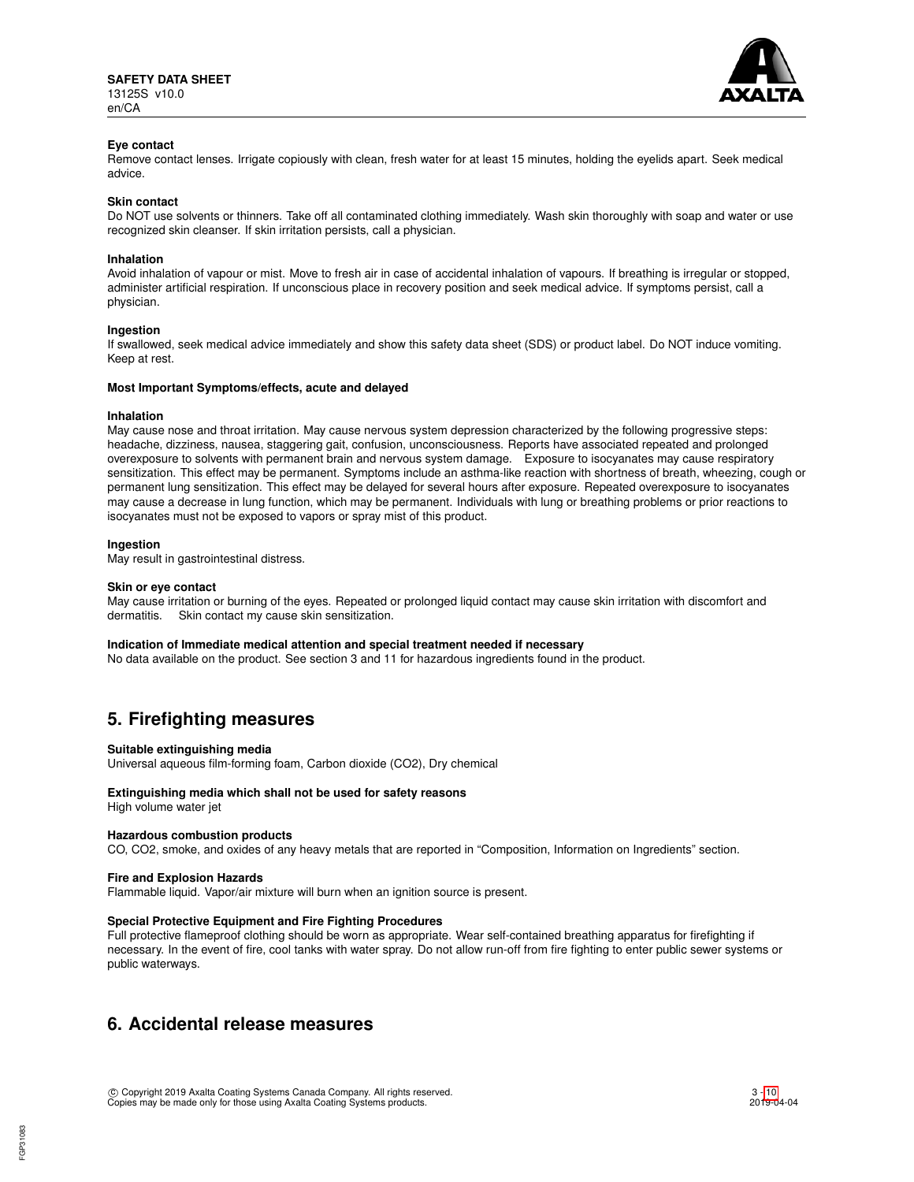

# **Eye contact**

Remove contact lenses. Irrigate copiously with clean, fresh water for at least 15 minutes, holding the eyelids apart. Seek medical advice.

#### **Skin contact**

Do NOT use solvents or thinners. Take off all contaminated clothing immediately. Wash skin thoroughly with soap and water or use recognized skin cleanser. If skin irritation persists, call a physician.

#### **Inhalation**

Avoid inhalation of vapour or mist. Move to fresh air in case of accidental inhalation of vapours. If breathing is irregular or stopped, administer artificial respiration. If unconscious place in recovery position and seek medical advice. If symptoms persist, call a physician.

#### **Ingestion**

If swallowed, seek medical advice immediately and show this safety data sheet (SDS) or product label. Do NOT induce vomiting. Keep at rest.

#### **Most Important Symptoms/effects, acute and delayed**

#### **Inhalation**

May cause nose and throat irritation. May cause nervous system depression characterized by the following progressive steps: headache, dizziness, nausea, staggering gait, confusion, unconsciousness. Reports have associated repeated and prolonged overexposure to solvents with permanent brain and nervous system damage. Exposure to isocyanates may cause respiratory sensitization. This effect may be permanent. Symptoms include an asthma-like reaction with shortness of breath, wheezing, cough or permanent lung sensitization. This effect may be delayed for several hours after exposure. Repeated overexposure to isocyanates may cause a decrease in lung function, which may be permanent. Individuals with lung or breathing problems or prior reactions to isocyanates must not be exposed to vapors or spray mist of this product.

### **Ingestion**

May result in gastrointestinal distress.

#### **Skin or eye contact**

May cause irritation or burning of the eyes. Repeated or prolonged liquid contact may cause skin irritation with discomfort and dermatitis. Skin contact my cause skin sensitization.

#### **Indication of Immediate medical attention and special treatment needed if necessary**

No data available on the product. See section 3 and 11 for hazardous ingredients found in the product.

# **5. Firefighting measures**

# **Suitable extinguishing media**

Universal aqueous film-forming foam, Carbon dioxide (CO2), Dry chemical

#### **Extinguishing media which shall not be used for safety reasons**

High volume water jet

# **Hazardous combustion products**

CO, CO2, smoke, and oxides of any heavy metals that are reported in "Composition, Information on Ingredients" section.

### **Fire and Explosion Hazards**

Flammable liquid. Vapor/air mixture will burn when an ignition source is present.

#### **Special Protective Equipment and Fire Fighting Procedures**

Full protective flameproof clothing should be worn as appropriate. Wear self-contained breathing apparatus for firefighting if necessary. In the event of fire, cool tanks with water spray. Do not allow run-off from fire fighting to enter public sewer systems or public waterways.

# **6. Accidental release measures**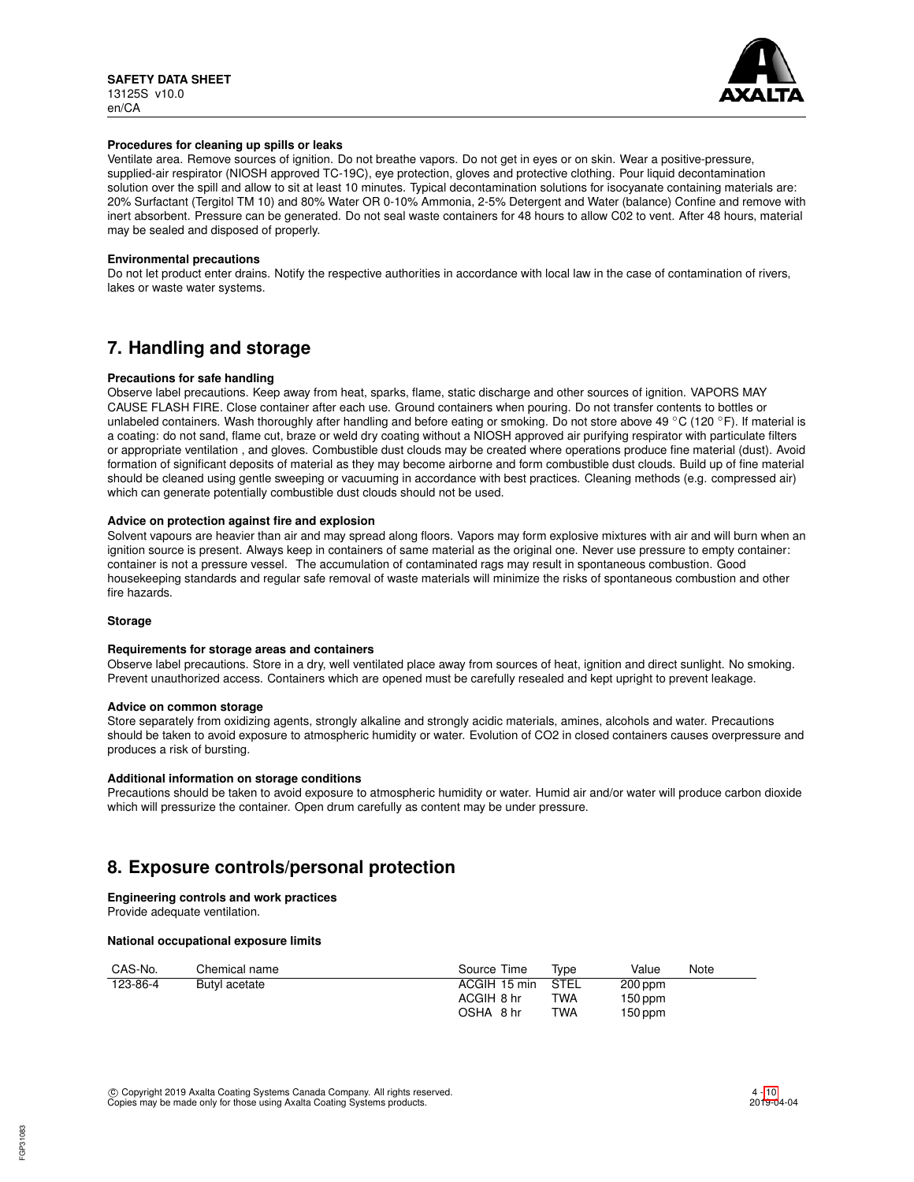

#### **Procedures for cleaning up spills or leaks**

Ventilate area. Remove sources of ignition. Do not breathe vapors. Do not get in eyes or on skin. Wear a positive-pressure, supplied-air respirator (NIOSH approved TC-19C), eye protection, gloves and protective clothing. Pour liquid decontamination solution over the spill and allow to sit at least 10 minutes. Typical decontamination solutions for isocyanate containing materials are: 20% Surfactant (Tergitol TM 10) and 80% Water OR 0-10% Ammonia, 2-5% Detergent and Water (balance) Confine and remove with inert absorbent. Pressure can be generated. Do not seal waste containers for 48 hours to allow C02 to vent. After 48 hours, material may be sealed and disposed of properly.

#### **Environmental precautions**

Do not let product enter drains. Notify the respective authorities in accordance with local law in the case of contamination of rivers, lakes or waste water systems.

# **7. Handling and storage**

#### **Precautions for safe handling**

Observe label precautions. Keep away from heat, sparks, flame, static discharge and other sources of ignition. VAPORS MAY CAUSE FLASH FIRE. Close container after each use. Ground containers when pouring. Do not transfer contents to bottles or unlabeled containers. Wash thoroughly after handling and before eating or smoking. Do not store above 49 °C (120 °F). If material is a coating: do not sand, flame cut, braze or weld dry coating without a NIOSH approved air purifying respirator with particulate filters or appropriate ventilation , and gloves. Combustible dust clouds may be created where operations produce fine material (dust). Avoid formation of significant deposits of material as they may become airborne and form combustible dust clouds. Build up of fine material should be cleaned using gentle sweeping or vacuuming in accordance with best practices. Cleaning methods (e.g. compressed air) which can generate potentially combustible dust clouds should not be used.

#### **Advice on protection against fire and explosion**

Solvent vapours are heavier than air and may spread along floors. Vapors may form explosive mixtures with air and will burn when an ignition source is present. Always keep in containers of same material as the original one. Never use pressure to empty container: container is not a pressure vessel. The accumulation of contaminated rags may result in spontaneous combustion. Good housekeeping standards and regular safe removal of waste materials will minimize the risks of spontaneous combustion and other fire hazards.

### **Storage**

### **Requirements for storage areas and containers**

Observe label precautions. Store in a dry, well ventilated place away from sources of heat, ignition and direct sunlight. No smoking. Prevent unauthorized access. Containers which are opened must be carefully resealed and kept upright to prevent leakage.

#### **Advice on common storage**

Store separately from oxidizing agents, strongly alkaline and strongly acidic materials, amines, alcohols and water. Precautions should be taken to avoid exposure to atmospheric humidity or water. Evolution of CO2 in closed containers causes overpressure and produces a risk of bursting.

#### **Additional information on storage conditions**

Precautions should be taken to avoid exposure to atmospheric humidity or water. Humid air and/or water will produce carbon dioxide which will pressurize the container. Open drum carefully as content may be under pressure.

# **8. Exposure controls/personal protection**

# **Engineering controls and work practices**

Provide adequate ventilation.

#### **National occupational exposure limits**

| CAS-No.  | Chemical name | Source Time  | Tvpe | Value<br>Note |
|----------|---------------|--------------|------|---------------|
| 123-86-4 | Butyl acetate | ACGIH 15 min | STEL | 200 ppm       |
|          |               | ACGIH 8 hr   | TWA  | $150$ ppm     |
|          |               | OSHA 8 hr    | TWA  | $150$ ppm     |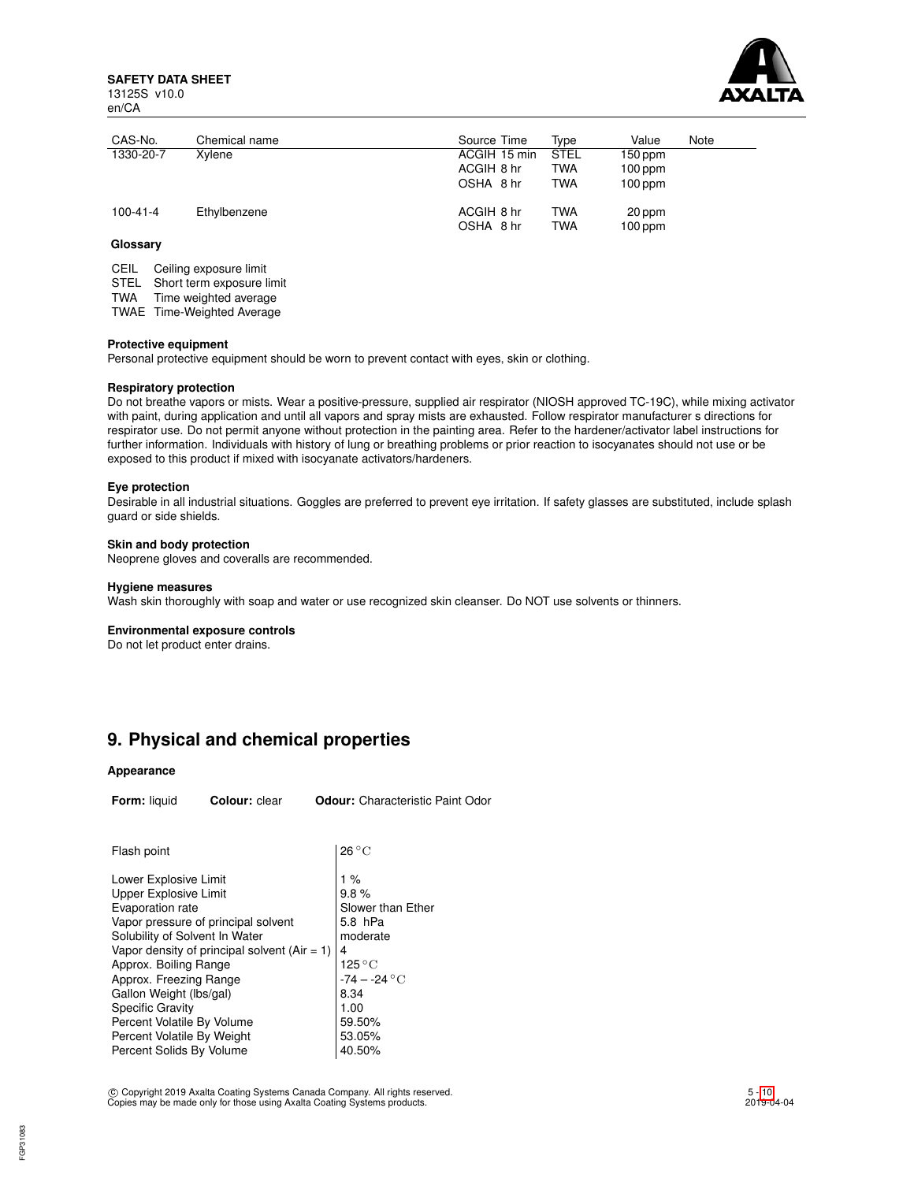

| CAS-No.        | Chemical name | Source Time                             | Type                                    | Value                             | Note |
|----------------|---------------|-----------------------------------------|-----------------------------------------|-----------------------------------|------|
| 1330-20-7      | Xvlene        | ACGIH 15 min<br>ACGIH 8 hr<br>OSHA 8 hr | <b>STEL</b><br><b>TWA</b><br><b>TWA</b> | 150 ppm<br>$100$ ppm<br>$100$ ppm |      |
| $100 - 41 - 4$ | Ethylbenzene  | ACGIH 8 hr<br>OSHA 8 hr                 | <b>TWA</b><br><b>TWA</b>                | 20 ppm<br>$100$ ppm               |      |

# **Glossary**

CEIL Ceiling exposure limit

STEL Short term exposure limit

TWA Time weighted average

TWAE Time-Weighted Average

#### **Protective equipment**

Personal protective equipment should be worn to prevent contact with eyes, skin or clothing.

### **Respiratory protection**

Do not breathe vapors or mists. Wear a positive-pressure, supplied air respirator (NIOSH approved TC-19C), while mixing activator with paint, during application and until all vapors and spray mists are exhausted. Follow respirator manufacturer s directions for respirator use. Do not permit anyone without protection in the painting area. Refer to the hardener/activator label instructions for further information. Individuals with history of lung or breathing problems or prior reaction to isocyanates should not use or be exposed to this product if mixed with isocyanate activators/hardeners.

#### **Eye protection**

Desirable in all industrial situations. Goggles are preferred to prevent eye irritation. If safety glasses are substituted, include splash guard or side shields.

# **Skin and body protection**

Neoprene gloves and coveralls are recommended.

## **Hygiene measures**

Wash skin thoroughly with soap and water or use recognized skin cleanser. Do NOT use solvents or thinners.

# **Environmental exposure controls**

Do not let product enter drains.

# **9. Physical and chemical properties**

# **Appearance**

**Form:** liquid **Colour:** clear **Odour:** Characteristic Paint Odor

| Flash point                                  | $26^{\circ}$ C         |  |  |
|----------------------------------------------|------------------------|--|--|
| Lower Explosive Limit                        | 1 %                    |  |  |
| Upper Explosive Limit                        | 9.8%                   |  |  |
| Evaporation rate                             | Slower than Ether      |  |  |
| Vapor pressure of principal solvent          | 5.8 hPa                |  |  |
| Solubility of Solvent In Water               | moderate               |  |  |
| Vapor density of principal solvent (Air = 1) | 4                      |  |  |
| Approx. Boiling Range                        | 125 °C<br>-74 – -24 °C |  |  |
| Approx. Freezing Range                       |                        |  |  |
| Gallon Weight (lbs/gal)                      | 8.34                   |  |  |
| <b>Specific Gravity</b>                      | 1.00                   |  |  |
| Percent Volatile By Volume                   | 59.50%                 |  |  |
| Percent Volatile By Weight                   | 53.05%                 |  |  |
| Percent Solids By Volume                     | 40.50%                 |  |  |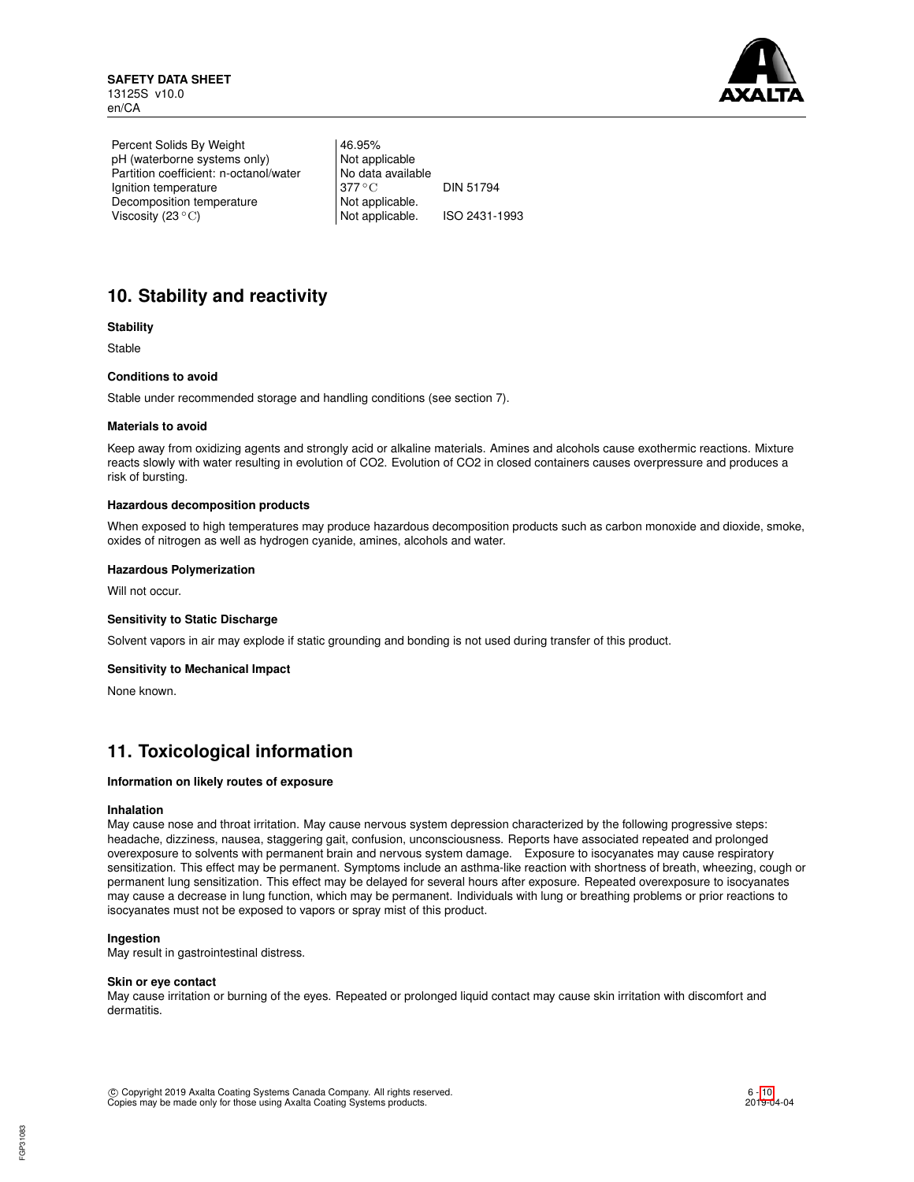

Percent Solids By Weight | 46.95% pH (waterborne systems only) Not applicable<br>
Partition coefficient: n-octanol/water No data available Partition coefficient: n-octanol/water No data applicion temperature 377 °C Ignition temperature 377 °C DIN 51794 Decomposition temperature Not applicable. Viscosity  $(23 °C)$  Not applicable. ISO 2431-1993

# **10. Stability and reactivity**

# **Stability**

**Stable** 

## **Conditions to avoid**

Stable under recommended storage and handling conditions (see section 7).

## **Materials to avoid**

Keep away from oxidizing agents and strongly acid or alkaline materials. Amines and alcohols cause exothermic reactions. Mixture reacts slowly with water resulting in evolution of CO2. Evolution of CO2 in closed containers causes overpressure and produces a risk of bursting.

## **Hazardous decomposition products**

When exposed to high temperatures may produce hazardous decomposition products such as carbon monoxide and dioxide, smoke, oxides of nitrogen as well as hydrogen cyanide, amines, alcohols and water.

## **Hazardous Polymerization**

Will not occur.

# **Sensitivity to Static Discharge**

Solvent vapors in air may explode if static grounding and bonding is not used during transfer of this product.

# **Sensitivity to Mechanical Impact**

None known.

# **11. Toxicological information**

# **Information on likely routes of exposure**

### **Inhalation**

May cause nose and throat irritation. May cause nervous system depression characterized by the following progressive steps: headache, dizziness, nausea, staggering gait, confusion, unconsciousness. Reports have associated repeated and prolonged overexposure to solvents with permanent brain and nervous system damage. Exposure to isocyanates may cause respiratory sensitization. This effect may be permanent. Symptoms include an asthma-like reaction with shortness of breath, wheezing, cough or permanent lung sensitization. This effect may be delayed for several hours after exposure. Repeated overexposure to isocyanates may cause a decrease in lung function, which may be permanent. Individuals with lung or breathing problems or prior reactions to isocyanates must not be exposed to vapors or spray mist of this product.

#### **Ingestion**

May result in gastrointestinal distress.

# **Skin or eye contact**

May cause irritation or burning of the eyes. Repeated or prolonged liquid contact may cause skin irritation with discomfort and dermatitis.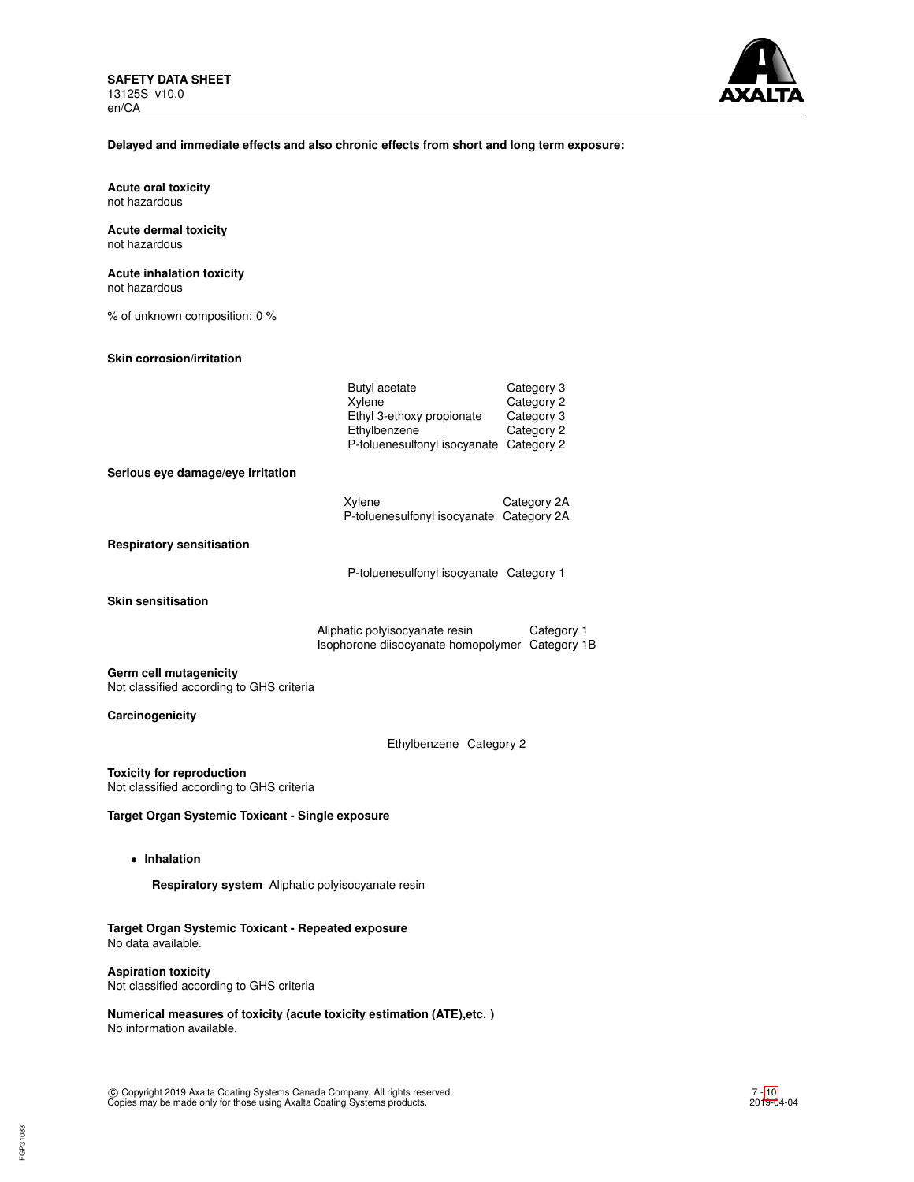

#### **Delayed and immediate effects and also chronic effects from short and long term exposure:**

**Acute oral toxicity** not hazardous

#### **Acute dermal toxicity** not hazardous

# **Acute inhalation toxicity**

not hazardous

% of unknown composition: 0 %

## **Skin corrosion/irritation**

|                                                                    | Butyl acetate<br>Xylene<br>Ethyl 3-ethoxy propionate<br>Ethylbenzene<br>P-toluenesulfonyl isocyanate Category 2 | Category 3<br>Category 2<br>Category 3<br>Category 2 |
|--------------------------------------------------------------------|-----------------------------------------------------------------------------------------------------------------|------------------------------------------------------|
| Serious eye damage/eye irritation                                  |                                                                                                                 |                                                      |
|                                                                    | Xylene<br>P-toluenesulfonyl isocyanate Category 2A                                                              | Category 2A                                          |
| <b>Respiratory sensitisation</b>                                   |                                                                                                                 |                                                      |
|                                                                    | P-toluenesulfonyl isocyanate Category 1                                                                         |                                                      |
| <b>Skin sensitisation</b>                                          |                                                                                                                 |                                                      |
|                                                                    | Aliphatic polyisocyanate resin<br>Isophorone diisocyanate homopolymer Category 1B                               | Category 1                                           |
| Germ cell mutagenicity<br>Not classified according to GHS criteria |                                                                                                                 |                                                      |
| Carcinogenicity                                                    |                                                                                                                 |                                                      |
|                                                                    | Ethylbenzene Category 2                                                                                         |                                                      |
|                                                                    |                                                                                                                 |                                                      |

**Toxicity for reproduction** Not classified according to GHS criteria

# **Target Organ Systemic Toxicant - Single exposure**

• **Inhalation**

**Respiratory system** Aliphatic polyisocyanate resin

### **Target Organ Systemic Toxicant - Repeated exposure** No data available.

### **Aspiration toxicity** Not classified according to GHS criteria

**Numerical measures of toxicity (acute toxicity estimation (ATE),etc. )** No information available.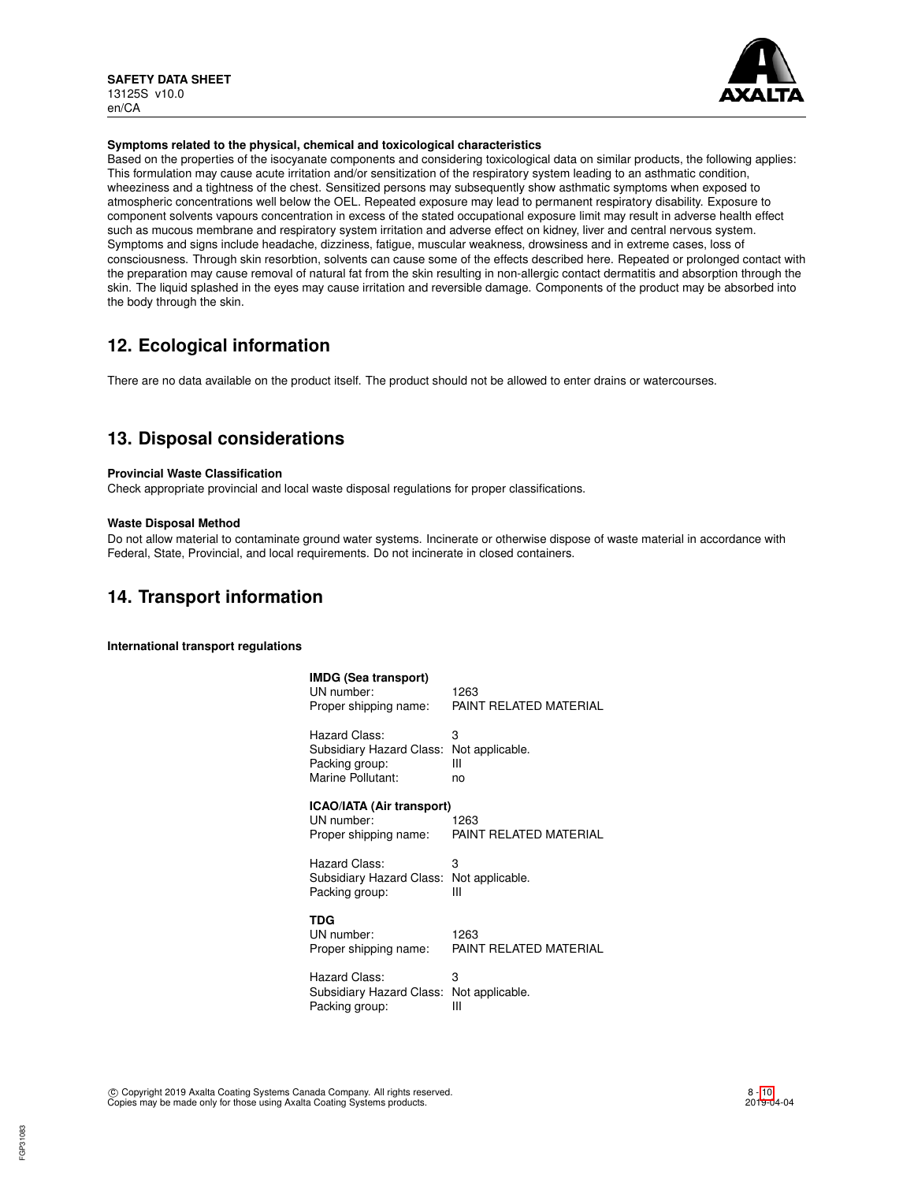

# **Symptoms related to the physical, chemical and toxicological characteristics**

Based on the properties of the isocyanate components and considering toxicological data on similar products, the following applies: This formulation may cause acute irritation and/or sensitization of the respiratory system leading to an asthmatic condition, wheeziness and a tightness of the chest. Sensitized persons may subsequently show asthmatic symptoms when exposed to atmospheric concentrations well below the OEL. Repeated exposure may lead to permanent respiratory disability. Exposure to component solvents vapours concentration in excess of the stated occupational exposure limit may result in adverse health effect such as mucous membrane and respiratory system irritation and adverse effect on kidney, liver and central nervous system. Symptoms and signs include headache, dizziness, fatigue, muscular weakness, drowsiness and in extreme cases, loss of consciousness. Through skin resorbtion, solvents can cause some of the effects described here. Repeated or prolonged contact with the preparation may cause removal of natural fat from the skin resulting in non-allergic contact dermatitis and absorption through the skin. The liquid splashed in the eyes may cause irritation and reversible damage. Components of the product may be absorbed into the body through the skin.

# **12. Ecological information**

There are no data available on the product itself. The product should not be allowed to enter drains or watercourses.

# **13. Disposal considerations**

### **Provincial Waste Classification**

Check appropriate provincial and local waste disposal regulations for proper classifications.

## **Waste Disposal Method**

Do not allow material to contaminate ground water systems. Incinerate or otherwise dispose of waste material in accordance with Federal, State, Provincial, and local requirements. Do not incinerate in closed containers.

# **14. Transport information**

### **International transport regulations**

| <b>IMDG (Sea transport)</b><br>UN number:<br>Proper shipping name:      | 1263<br>PAINT RELATED MATERIAL |
|-------------------------------------------------------------------------|--------------------------------|
| Hazard Class:                                                           | 3                              |
| Subsidiary Hazard Class:                                                | Not applicable.                |
| Packing group:                                                          | Ш                              |
| Marine Pollutant:                                                       | no                             |
| <b>ICAO/IATA (Air transport)</b><br>UN number:<br>Proper shipping name: | 1263<br>PAINT RELATED MATERIAL |
| Hazard Class:                                                           | 3                              |
| Subsidiary Hazard Class:                                                | Not applicable.                |
| Packing group:                                                          | Ш                              |
| TDG<br>UN number:<br>Proper shipping name:                              | 1263<br>PAINT RELATED MATERIAL |
| Hazard Class:                                                           | 3                              |
| Subsidiary Hazard Class:                                                | Not applicable.                |
| Packing group:                                                          | Ш                              |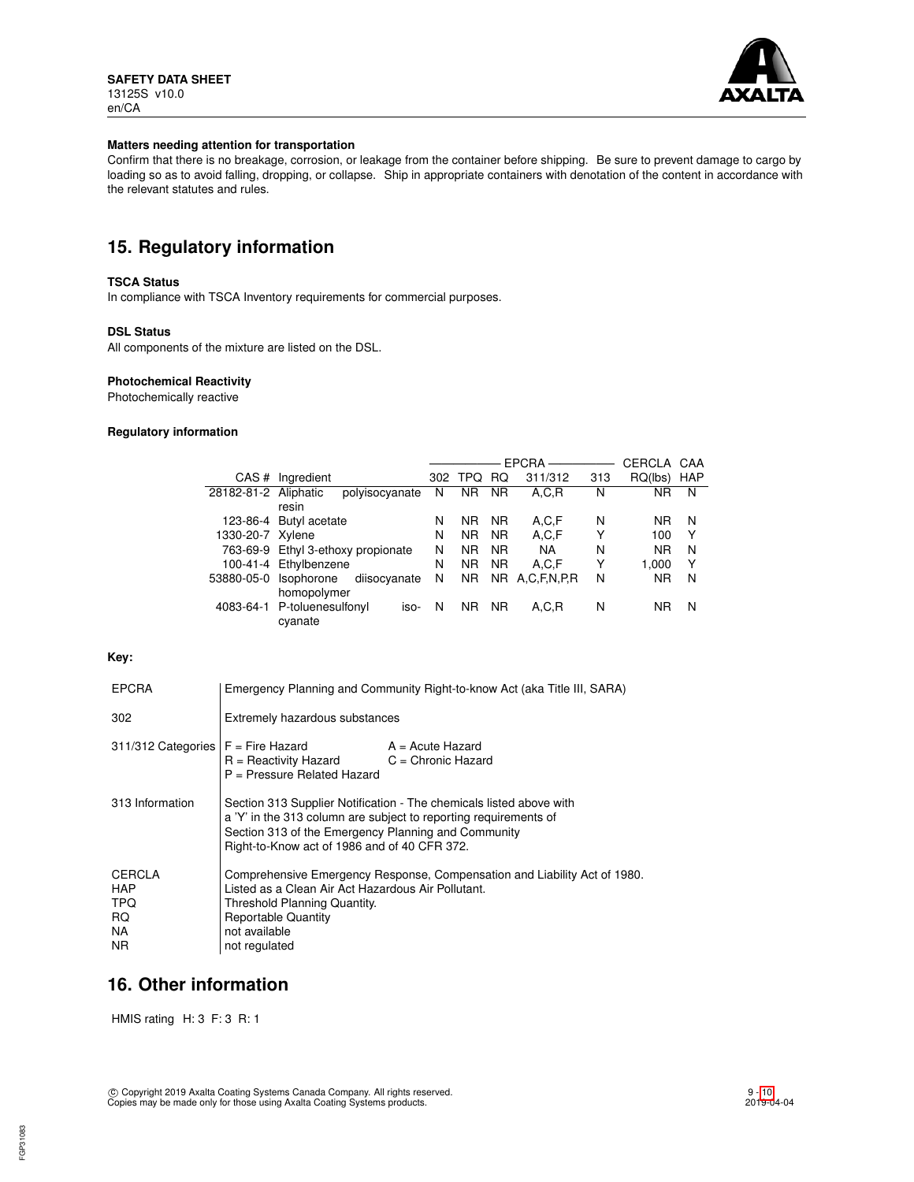

## **Matters needing attention for transportation**

Confirm that there is no breakage, corrosion, or leakage from the container before shipping. Be sure to prevent damage to cargo by loading so as to avoid falling, dropping, or collapse. Ship in appropriate containers with denotation of the content in accordance with the relevant statutes and rules.

# **15. Regulatory information**

# **TSCA Status**

In compliance with TSCA Inventory requirements for commercial purposes.

## **DSL Status**

All components of the mixture are listed on the DSL.

### **Photochemical Reactivity**

Photochemically reactive

### **Regulatory information**

|                       |                                    |     |           |           | <b>EPCRA</b>     |     | CERCLA    | CAA        |
|-----------------------|------------------------------------|-----|-----------|-----------|------------------|-----|-----------|------------|
| CAS#                  | Ingredient                         | 302 | TPQ.      | RQ.       | 311/312          | 313 | RQ(lbs)   | <b>HAP</b> |
| 28182-81-2 Aliphatic  | polyisocyanate                     | N   | <b>NR</b> | <b>NR</b> | A.C.R            | N   | ΝR        | N          |
|                       | resin                              |     |           |           |                  |     |           |            |
|                       | 123-86-4 Butyl acetate             | N   | <b>NR</b> | <b>NR</b> | A,C,F            | N   | <b>NR</b> | N          |
| 1330-20-7 Xylene      |                                    | N   | <b>NR</b> | <b>NR</b> | A,C,F            | Υ   | 100       | Y          |
|                       | 763-69-9 Ethyl 3-ethoxy propionate | N   | <b>NR</b> | <b>NR</b> | <b>NA</b>        | N   | <b>NR</b> | N          |
|                       | 100-41-4 Ethylbenzene              | N   | <b>NR</b> | <b>NR</b> | A,C,F            | Υ   | 1.000     | Y          |
| 53880-05-0 Isophorone | diisocyanate                       | N   | <b>NR</b> | NR I      | A, C, F, N, P, R | N   | ΝR        | N          |
|                       | homopolymer                        |     |           |           |                  |     |           |            |
| 4083-64-1             | P-toluenesulfonyl<br>iso-          | N   | NR        | <b>NR</b> | A.C.R            | N   | ΝR        | N          |
|                       | cyanate                            |     |           |           |                  |     |           |            |

# **Key:**

| <b>EPCRA</b>                                            | Emergency Planning and Community Right-to-know Act (aka Title III, SARA)                                                                                                                                                                       |                                            |  |
|---------------------------------------------------------|------------------------------------------------------------------------------------------------------------------------------------------------------------------------------------------------------------------------------------------------|--------------------------------------------|--|
| 302                                                     | Extremely hazardous substances                                                                                                                                                                                                                 |                                            |  |
| $311/312$ Categories $F =$ Fire Hazard                  | R = Reactivity Hazard<br>P = Pressure Related Hazard                                                                                                                                                                                           | $A = Acute$ Hazard<br>$C =$ Chronic Hazard |  |
| 313 Information                                         | Section 313 Supplier Notification - The chemicals listed above with<br>a 'Y' in the 313 column are subject to reporting requirements of<br>Section 313 of the Emergency Planning and Community<br>Right-to-Know act of 1986 and of 40 CFR 372. |                                            |  |
| <b>CERCLA</b><br>HAP<br><b>TPQ</b><br>RQ.<br>NA.<br>NR. | Comprehensive Emergency Response, Compensation and Liability Act of 1980.<br>Listed as a Clean Air Act Hazardous Air Pollutant.<br>Threshold Planning Quantity.<br><b>Reportable Quantity</b><br>not available<br>not regulated                |                                            |  |

# **16. Other information**

HMIS rating H: 3 F: 3 R: 1